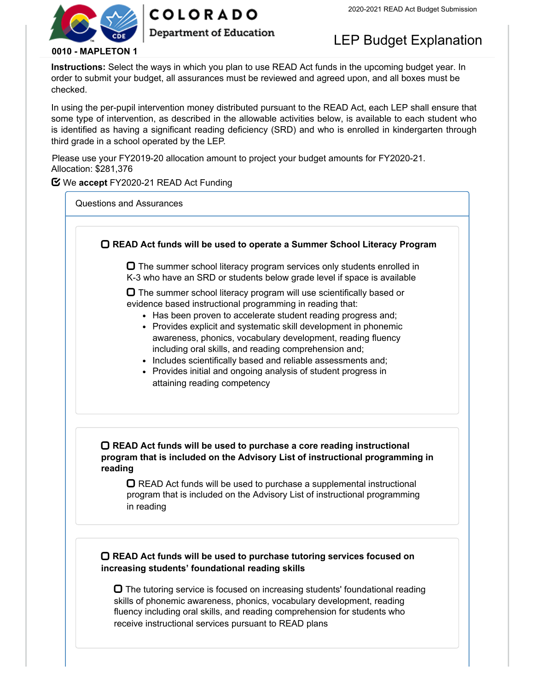

# **COLORADO**

### **Department of Education**

# LEP Budget Explanation

#### **0010 - MAPLETON 1**

**Instructions:** Select the ways in which you plan to use READ Act funds in the upcoming budget year. In order to submit your budget, all assurances must be reviewed and agreed upon, and all boxes must be checked.

In using the per-pupil intervention money distributed pursuant to the READ Act, each LEP shall ensure that some type of intervention, as described in the allowable activities below, is available to each student who is identified as having a significant reading deficiency (SRD) and who is enrolled in kindergarten through third grade in a school operated by the LEP.

Please use your FY2019-20 allocation amount to project your budget amounts for FY2020-21. Allocation: \$281,376

#### We **accept** FY2020-21 READ Act Funding

Questions and Assurances

 **READ Act funds will be used to operate a Summer School Literacy Program**  $\Box$  The summer school literacy program services only students enrolled in K-3 who have an SRD or students below grade level if space is available  $\Box$  The summer school literacy program will use scientifically based or evidence based instructional programming in reading that: • Has been proven to accelerate student reading progress and; • Provides explicit and systematic skill development in phonemic awareness, phonics, vocabulary development, reading fluency including oral skills, and reading comprehension and; • Includes scientifically based and reliable assessments and; • Provides initial and ongoing analysis of student progress in attaining reading competency **READ Act funds will be used to purchase a core reading instructional program that is included on the Advisory List of instructional programming in reading**  $\Box$  READ Act funds will be used to purchase a supplemental instructional program that is included on the Advisory List of instructional programming in reading **READ Act funds will be used to purchase tutoring services focused on increasing students' foundational reading skills**

 $\Box$  The tutoring service is focused on increasing students' foundational reading skills of phonemic awareness, phonics, vocabulary development, reading fluency including oral skills, and reading comprehension for students who receive instructional services pursuant to READ plans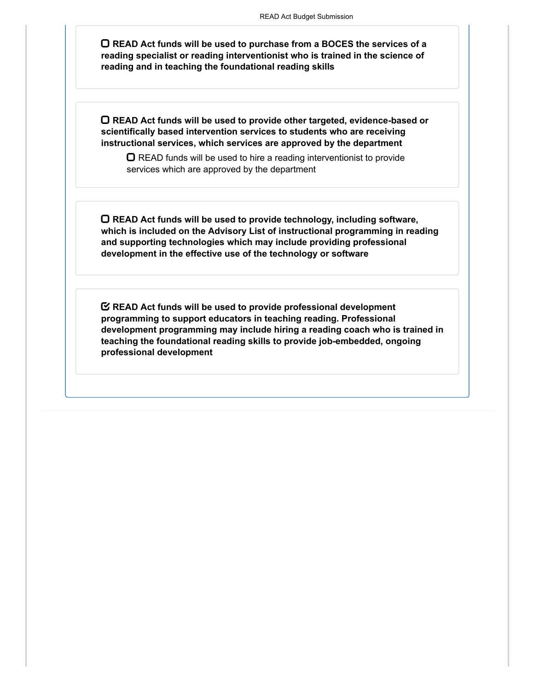**READ Act funds will be used to purchase from a BOCES the services of a reading specialist or reading interventionist who is trained in the science of reading and in teaching the foundational reading skills**

**READ Act funds will be used to provide other targeted, evidence-based or scientifically based intervention services to students who are receiving instructional services, which services are approved by the department**

 $\Box$  READ funds will be used to hire a reading interventionist to provide services which are approved by the department

**READ Act funds will be used to provide technology, including software, which is included on the Advisory List of instructional programming in reading and supporting technologies which may include providing professional development in the effective use of the technology or software**

**READ Act funds will be used to provide professional development programming to support educators in teaching reading. Professional development programming may include hiring a reading coach who is trained in teaching the foundational reading skills to provide job-embedded, ongoing professional development**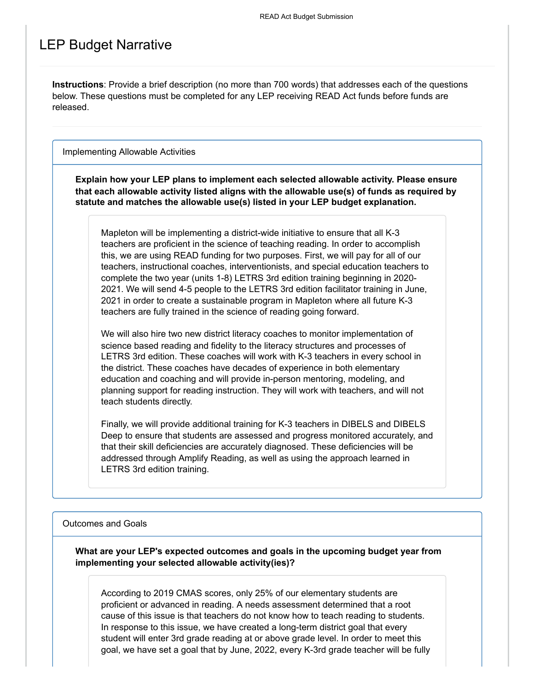## LEP Budget Narrative

**Instructions**: Provide a brief description (no more than 700 words) that addresses each of the questions below. These questions must be completed for any LEP receiving READ Act funds before funds are released.

Implementing Allowable Activities

**Explain how your LEP plans to implement each selected allowable activity. Please ensure that each allowable activity listed aligns with the allowable use(s) of funds as required by statute and matches the allowable use(s) listed in your LEP budget explanation.**

Mapleton will be implementing a district-wide initiative to ensure that all K-3 teachers are proficient in the science of teaching reading. In order to accomplish this, we are using READ funding for two purposes. First, we will pay for all of our teachers, instructional coaches, interventionists, and special education teachers to complete the two year (units 1-8) LETRS 3rd edition training beginning in 2020- 2021. We will send 4-5 people to the LETRS 3rd edition facilitator training in June, 2021 in order to create a sustainable program in Mapleton where all future K-3 teachers are fully trained in the science of reading going forward.

We will also hire two new district literacy coaches to monitor implementation of science based reading and fidelity to the literacy structures and processes of LETRS 3rd edition. These coaches will work with K-3 teachers in every school in the district. These coaches have decades of experience in both elementary education and coaching and will provide in-person mentoring, modeling, and planning support for reading instruction. They will work with teachers, and will not teach students directly.

Finally, we will provide additional training for K-3 teachers in DIBELS and DIBELS Deep to ensure that students are assessed and progress monitored accurately, and that their skill deficiencies are accurately diagnosed. These deficiencies will be addressed through Amplify Reading, as well as using the approach learned in LETRS 3rd edition training.

#### Outcomes and Goals

**What are your LEP's expected outcomes and goals in the upcoming budget year from implementing your selected allowable activity(ies)?**

According to 2019 CMAS scores, only 25% of our elementary students are proficient or advanced in reading. A needs assessment determined that a root cause of this issue is that teachers do not know how to teach reading to students. In response to this issue, we have created a long-term district goal that every student will enter 3rd grade reading at or above grade level. In order to meet this goal, we have set a goal that by June, 2022, every K-3rd grade teacher will be fully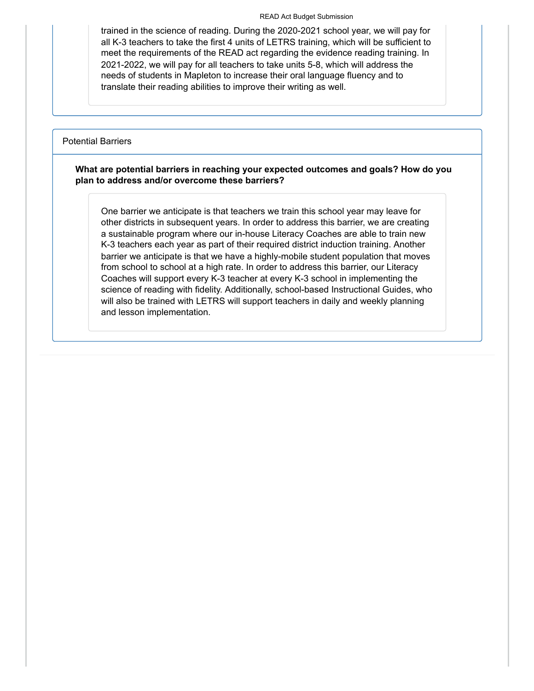#### READ Act Budget Submission

trained in the science of reading. During the 2020-2021 school year, we will pay for all K-3 teachers to take the first 4 units of LETRS training, which will be sufficient to meet the requirements of the READ act regarding the evidence reading training. In 2021-2022, we will pay for all teachers to take units 5-8, which will address the needs of students in Mapleton to increase their oral language fluency and to translate their reading abilities to improve their writing as well.

#### Potential Barriers

#### **What are potential barriers in reaching your expected outcomes and goals? How do you plan to address and/or overcome these barriers?**

One barrier we anticipate is that teachers we train this school year may leave for other districts in subsequent years. In order to address this barrier, we are creating a sustainable program where our in-house Literacy Coaches are able to train new K-3 teachers each year as part of their required district induction training. Another barrier we anticipate is that we have a highly-mobile student population that moves from school to school at a high rate. In order to address this barrier, our Literacy Coaches will support every K-3 teacher at every K-3 school in implementing the science of reading with fidelity. Additionally, school-based Instructional Guides, who will also be trained with LETRS will support teachers in daily and weekly planning and lesson implementation.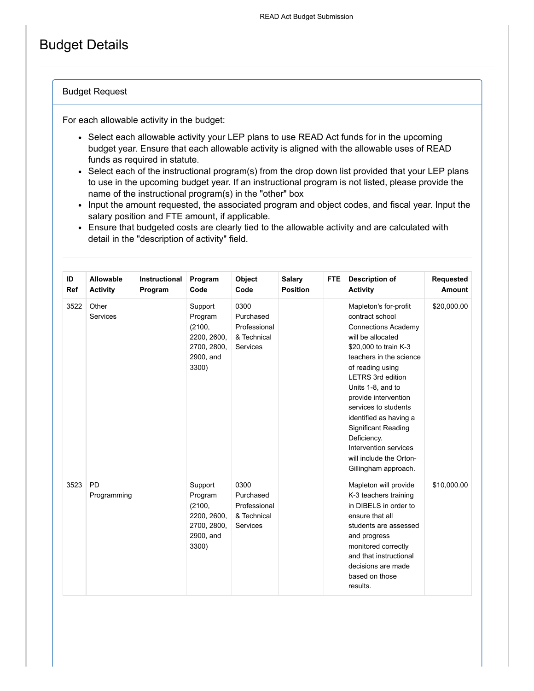# Budget Details

#### Budget Request

For each allowable activity in the budget:

- Select each allowable activity your LEP plans to use READ Act funds for in the upcoming budget year. Ensure that each allowable activity is aligned with the allowable uses of READ funds as required in statute.
- Select each of the instructional program(s) from the drop down list provided that your LEP plans to use in the upcoming budget year. If an instructional program is not listed, please provide the name of the instructional program(s) in the "other" box
- Input the amount requested, the associated program and object codes, and fiscal year. Input the salary position and FTE amount, if applicable.
- Ensure that budgeted costs are clearly tied to the allowable activity and are calculated with detail in the "description of activity" field.

| ID<br>Ref | Allowable<br><b>Activity</b> | Instructional<br>Program | Program<br>Code                                                                  | Object<br>Code                                                      | <b>Salary</b><br><b>Position</b> | FTE. | <b>Description of</b><br><b>Activity</b>                                                                                                                                                                                                                                                                                                                                                                         | Requested<br>Amount |
|-----------|------------------------------|--------------------------|----------------------------------------------------------------------------------|---------------------------------------------------------------------|----------------------------------|------|------------------------------------------------------------------------------------------------------------------------------------------------------------------------------------------------------------------------------------------------------------------------------------------------------------------------------------------------------------------------------------------------------------------|---------------------|
| 3522      | Other<br><b>Services</b>     |                          | Support<br>Program<br>(2100,<br>2200, 2600,<br>2700, 2800,<br>2900, and<br>3300) | 0300<br>Purchased<br>Professional<br>& Technical<br>Services        |                                  |      | Mapleton's for-profit<br>contract school<br><b>Connections Academy</b><br>will be allocated<br>\$20,000 to train K-3<br>teachers in the science<br>of reading using<br><b>LETRS 3rd edition</b><br>Units 1-8, and to<br>provide intervention<br>services to students<br>identified as having a<br>Significant Reading<br>Deficiency.<br>Intervention services<br>will include the Orton-<br>Gillingham approach. | \$20,000.00         |
| 3523      | <b>PD</b><br>Programming     |                          | Support<br>Program<br>(2100,<br>2200, 2600,<br>2700, 2800,<br>2900, and<br>3300) | 0300<br>Purchased<br>Professional<br>& Technical<br><b>Services</b> |                                  |      | Mapleton will provide<br>K-3 teachers training<br>in DIBELS in order to<br>ensure that all<br>students are assessed<br>and progress<br>monitored correctly<br>and that instructional<br>decisions are made<br>based on those<br>results.                                                                                                                                                                         | \$10,000.00         |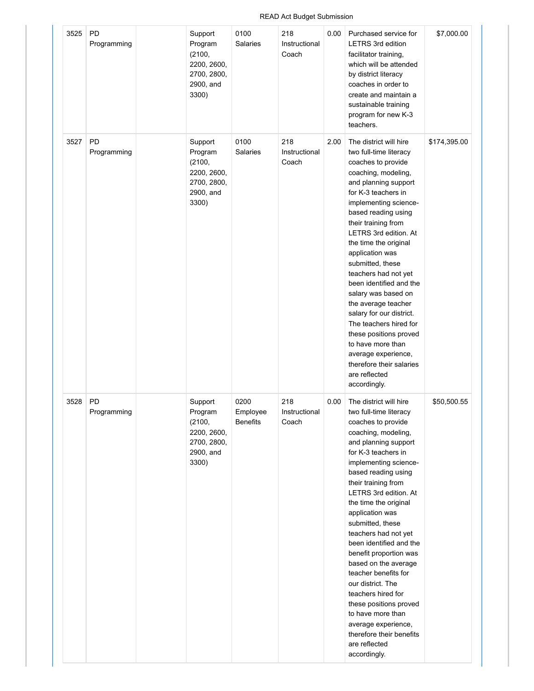#### READ Act Budget Submission

| 3525 | <b>PD</b><br>Programming | Support<br>Program<br>(2100,<br>2200, 2600,<br>2700, 2800,<br>2900, and<br>3300) | 0100<br>Salaries                    | 218<br>Instructional<br>Coach | 0.00 | Purchased service for<br><b>LETRS 3rd edition</b><br>facilitator training,<br>which will be attended<br>by district literacy<br>coaches in order to<br>create and maintain a<br>sustainable training<br>program for new K-3<br>teachers.                                                                                                                                                                                                                                                                                                                                                                                | \$7,000.00   |
|------|--------------------------|----------------------------------------------------------------------------------|-------------------------------------|-------------------------------|------|-------------------------------------------------------------------------------------------------------------------------------------------------------------------------------------------------------------------------------------------------------------------------------------------------------------------------------------------------------------------------------------------------------------------------------------------------------------------------------------------------------------------------------------------------------------------------------------------------------------------------|--------------|
| 3527 | <b>PD</b><br>Programming | Support<br>Program<br>(2100,<br>2200, 2600,<br>2700, 2800,<br>2900, and<br>3300) | 0100<br>Salaries                    | 218<br>Instructional<br>Coach | 2.00 | The district will hire<br>two full-time literacy<br>coaches to provide<br>coaching, modeling,<br>and planning support<br>for K-3 teachers in<br>implementing science-<br>based reading using<br>their training from<br>LETRS 3rd edition. At<br>the time the original<br>application was<br>submitted, these<br>teachers had not yet<br>been identified and the<br>salary was based on<br>the average teacher<br>salary for our district.<br>The teachers hired for<br>these positions proved<br>to have more than<br>average experience,<br>therefore their salaries<br>are reflected<br>accordingly.                  | \$174,395.00 |
| 3528 | PD<br>Programming        | Support<br>Program<br>(2100,<br>2200, 2600,<br>2700, 2800,<br>2900, and<br>3300) | 0200<br>Employee<br><b>Benefits</b> | 218<br>Instructional<br>Coach | 0.00 | The district will hire<br>two full-time literacy<br>coaches to provide<br>coaching, modeling,<br>and planning support<br>for K-3 teachers in<br>implementing science-<br>based reading using<br>their training from<br>LETRS 3rd edition. At<br>the time the original<br>application was<br>submitted, these<br>teachers had not yet<br>been identified and the<br>benefit proportion was<br>based on the average<br>teacher benefits for<br>our district. The<br>teachers hired for<br>these positions proved<br>to have more than<br>average experience,<br>therefore their benefits<br>are reflected<br>accordingly. | \$50,500.55  |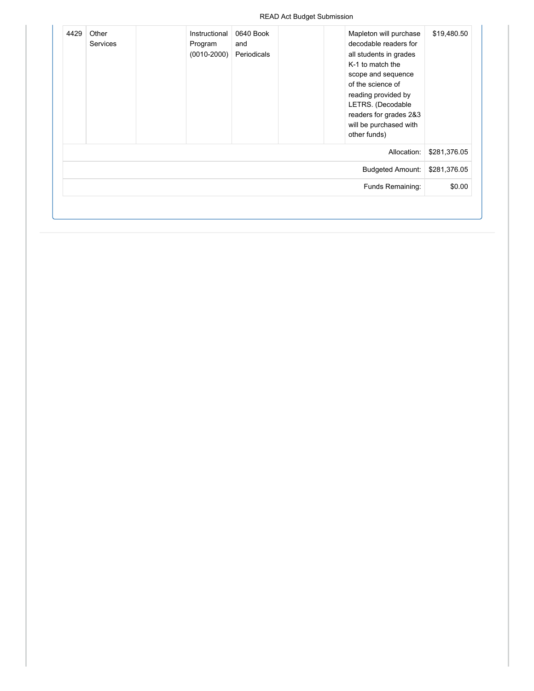| \$19,480.50  | Mapleton will purchase<br>decodable readers for<br>all students in grades<br>K-1 to match the<br>scope and sequence<br>of the science of<br>reading provided by<br>LETRS. (Decodable<br>readers for grades 2&3<br>will be purchased with | 0640 Book<br>Periodicals | Instructional<br>Program<br>$(0010 - 2000)$ | Other<br><b>Services</b> | 4429 |
|--------------|------------------------------------------------------------------------------------------------------------------------------------------------------------------------------------------------------------------------------------------|--------------------------|---------------------------------------------|--------------------------|------|
| \$281,376.05 | other funds)<br>Allocation:                                                                                                                                                                                                              |                          |                                             |                          |      |
| \$281,376.05 | <b>Budgeted Amount:</b>                                                                                                                                                                                                                  |                          |                                             |                          |      |
| \$0.00       | Funds Remaining:                                                                                                                                                                                                                         |                          |                                             |                          |      |